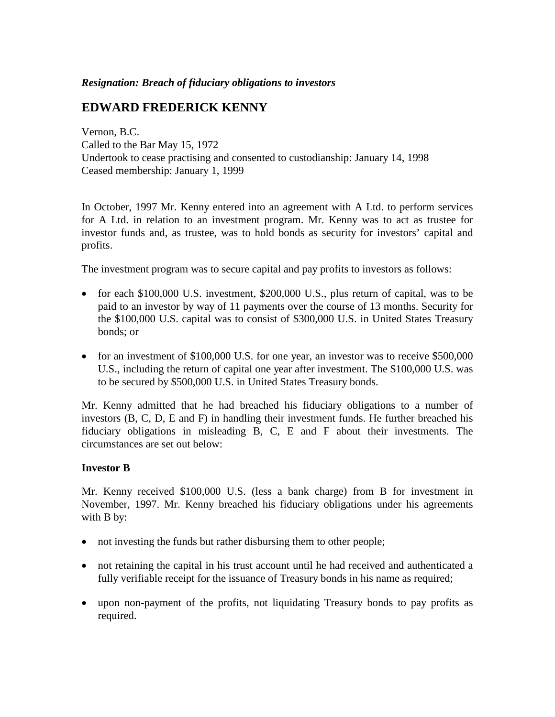#### *Resignation: Breach of fiduciary obligations to investors*

# **EDWARD FREDERICK KENNY**

Vernon, B.C. Called to the Bar May 15, 1972 Undertook to cease practising and consented to custodianship: January 14, 1998 Ceased membership: January 1, 1999

In October, 1997 Mr. Kenny entered into an agreement with A Ltd. to perform services for A Ltd. in relation to an investment program. Mr. Kenny was to act as trustee for investor funds and, as trustee, was to hold bonds as security for investors' capital and profits.

The investment program was to secure capital and pay profits to investors as follows:

- for each \$100,000 U.S. investment, \$200,000 U.S., plus return of capital, was to be paid to an investor by way of 11 payments over the course of 13 months. Security for the \$100,000 U.S. capital was to consist of \$300,000 U.S. in United States Treasury bonds; or
- for an investment of \$100,000 U.S. for one year, an investor was to receive \$500,000 U.S., including the return of capital one year after investment. The \$100,000 U.S. was to be secured by \$500,000 U.S. in United States Treasury bonds.

Mr. Kenny admitted that he had breached his fiduciary obligations to a number of investors (B, C, D, E and F) in handling their investment funds. He further breached his fiduciary obligations in misleading B, C, E and F about their investments. The circumstances are set out below:

## **Investor B**

Mr. Kenny received \$100,000 U.S. (less a bank charge) from B for investment in November, 1997. Mr. Kenny breached his fiduciary obligations under his agreements with B by:

- not investing the funds but rather disbursing them to other people;
- not retaining the capital in his trust account until he had received and authenticated a fully verifiable receipt for the issuance of Treasury bonds in his name as required;
- upon non-payment of the profits, not liquidating Treasury bonds to pay profits as required.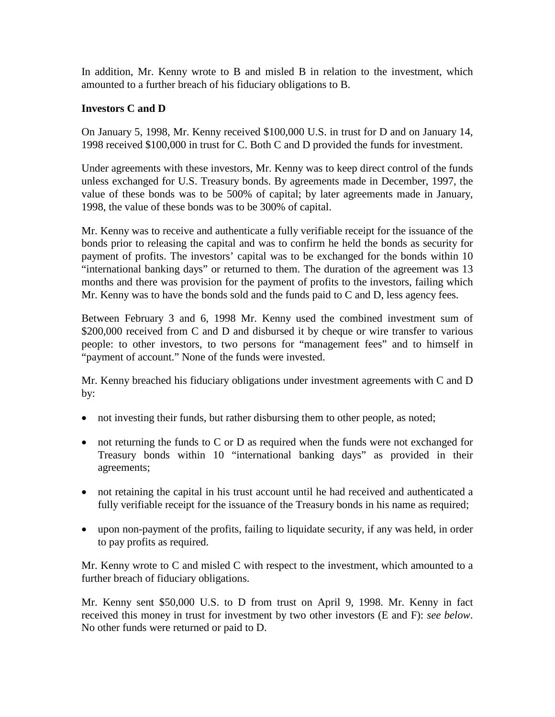In addition, Mr. Kenny wrote to B and misled B in relation to the investment, which amounted to a further breach of his fiduciary obligations to B.

## **Investors C and D**

On January 5, 1998, Mr. Kenny received \$100,000 U.S. in trust for D and on January 14, 1998 received \$100,000 in trust for C. Both C and D provided the funds for investment.

Under agreements with these investors, Mr. Kenny was to keep direct control of the funds unless exchanged for U.S. Treasury bonds. By agreements made in December, 1997, the value of these bonds was to be 500% of capital; by later agreements made in January, 1998, the value of these bonds was to be 300% of capital.

Mr. Kenny was to receive and authenticate a fully verifiable receipt for the issuance of the bonds prior to releasing the capital and was to confirm he held the bonds as security for payment of profits. The investors' capital was to be exchanged for the bonds within 10 "international banking days" or returned to them. The duration of the agreement was 13 months and there was provision for the payment of profits to the investors, failing which Mr. Kenny was to have the bonds sold and the funds paid to C and D, less agency fees.

Between February 3 and 6, 1998 Mr. Kenny used the combined investment sum of \$200,000 received from C and D and disbursed it by cheque or wire transfer to various people: to other investors, to two persons for "management fees" and to himself in "payment of account." None of the funds were invested.

Mr. Kenny breached his fiduciary obligations under investment agreements with C and D by:

- not investing their funds, but rather disbursing them to other people, as noted;
- not returning the funds to C or D as required when the funds were not exchanged for Treasury bonds within 10 "international banking days" as provided in their agreements;
- not retaining the capital in his trust account until he had received and authenticated a fully verifiable receipt for the issuance of the Treasury bonds in his name as required;
- upon non-payment of the profits, failing to liquidate security, if any was held, in order to pay profits as required.

Mr. Kenny wrote to C and misled C with respect to the investment, which amounted to a further breach of fiduciary obligations.

Mr. Kenny sent \$50,000 U.S. to D from trust on April 9, 1998. Mr. Kenny in fact received this money in trust for investment by two other investors (E and F): *see below*. No other funds were returned or paid to D.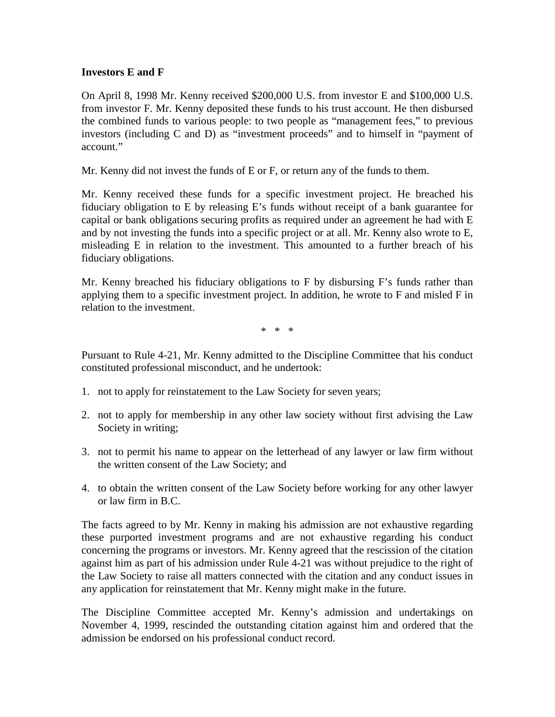#### **Investors E and F**

On April 8, 1998 Mr. Kenny received \$200,000 U.S. from investor E and \$100,000 U.S. from investor F. Mr. Kenny deposited these funds to his trust account. He then disbursed the combined funds to various people: to two people as "management fees," to previous investors (including C and D) as "investment proceeds" and to himself in "payment of account."

Mr. Kenny did not invest the funds of E or F, or return any of the funds to them.

Mr. Kenny received these funds for a specific investment project. He breached his fiduciary obligation to E by releasing E's funds without receipt of a bank guarantee for capital or bank obligations securing profits as required under an agreement he had with E and by not investing the funds into a specific project or at all. Mr. Kenny also wrote to E, misleading E in relation to the investment. This amounted to a further breach of his fiduciary obligations.

Mr. Kenny breached his fiduciary obligations to F by disbursing F's funds rather than applying them to a specific investment project. In addition, he wrote to F and misled F in relation to the investment.

\* \* \*

Pursuant to Rule 4-21, Mr. Kenny admitted to the Discipline Committee that his conduct constituted professional misconduct, and he undertook:

- 1. not to apply for reinstatement to the Law Society for seven years;
- 2. not to apply for membership in any other law society without first advising the Law Society in writing;
- 3. not to permit his name to appear on the letterhead of any lawyer or law firm without the written consent of the Law Society; and
- 4. to obtain the written consent of the Law Society before working for any other lawyer or law firm in B.C.

The facts agreed to by Mr. Kenny in making his admission are not exhaustive regarding these purported investment programs and are not exhaustive regarding his conduct concerning the programs or investors. Mr. Kenny agreed that the rescission of the citation against him as part of his admission under Rule 4-21 was without prejudice to the right of the Law Society to raise all matters connected with the citation and any conduct issues in any application for reinstatement that Mr. Kenny might make in the future.

The Discipline Committee accepted Mr. Kenny's admission and undertakings on November 4, 1999, rescinded the outstanding citation against him and ordered that the admission be endorsed on his professional conduct record.